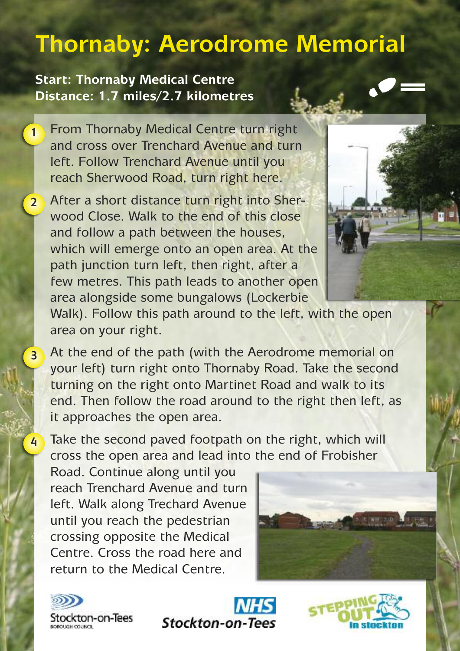## **Thornaby: Aerodrome Memorial**

## **Start: Thornaby Medical Centre Distance: 1.7 miles/2.7 kilometres**

From Thornaby Medical Centre turn right and cross over Trenchard Avenue and turn left. Follow Trenchard Avenue until you reach Sherwood Road, turn right here. **1**

After a short distance turn right into Sherwood Close. Walk to the end of this close and follow a path between the houses, which will emerge onto an open area. At the path junction turn left, then right, after a few metres. This path leads to another open area alongside some bungalows (Lockerbie **2**

Walk). Follow this path around to the left, with the open area on your right.

At the end of the path (with the Aerodrome memorial on your left) turn right onto Thornaby Road. Take the second turning on the right onto Martinet Road and walk to its end. Then follow the road around to the right then left, as it approaches the open area.

Take the second paved footpath on the right, which will cross the open area and lead into the end of Frobisher

Road. Continue along until you reach Trenchard Avenue and turn left. Walk along Trechard Avenue until you reach the pedestrian crossing opposite the Medical Centre. Cross the road here and return to the Medical Centre.





**3**

**4**